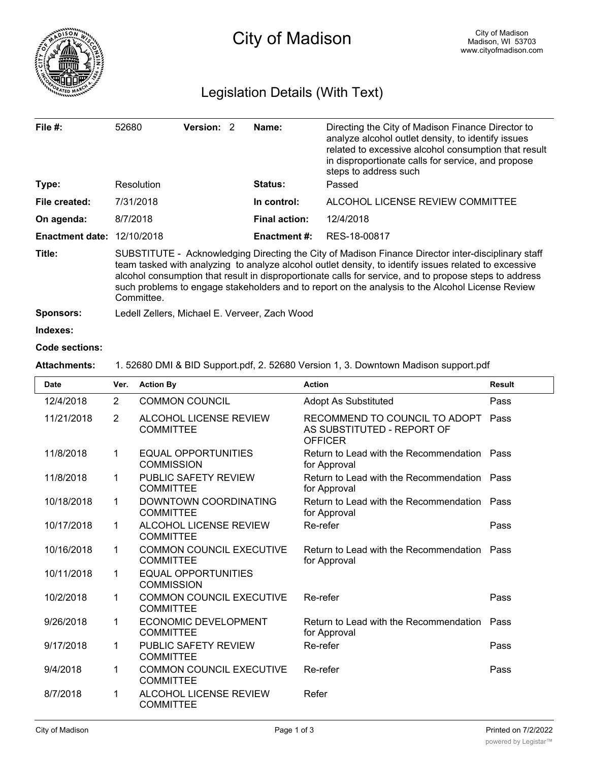

## Legislation Details (With Text)

| File $#$ :             | 52680                                                                                                                                                                                                                                                                                                                                                                                                                                   | Version: 2 |  | Name:                | Directing the City of Madison Finance Director to<br>analyze alcohol outlet density, to identify issues<br>related to excessive alcohol consumption that result<br>in disproportionate calls for service, and propose<br>steps to address such |  |
|------------------------|-----------------------------------------------------------------------------------------------------------------------------------------------------------------------------------------------------------------------------------------------------------------------------------------------------------------------------------------------------------------------------------------------------------------------------------------|------------|--|----------------------|------------------------------------------------------------------------------------------------------------------------------------------------------------------------------------------------------------------------------------------------|--|
| Type:                  | Resolution                                                                                                                                                                                                                                                                                                                                                                                                                              |            |  | <b>Status:</b>       | Passed                                                                                                                                                                                                                                         |  |
| File created:          | 7/31/2018                                                                                                                                                                                                                                                                                                                                                                                                                               |            |  | In control:          | ALCOHOL LICENSE REVIEW COMMITTEE                                                                                                                                                                                                               |  |
| On agenda:             | 8/7/2018                                                                                                                                                                                                                                                                                                                                                                                                                                |            |  | <b>Final action:</b> | 12/4/2018                                                                                                                                                                                                                                      |  |
| <b>Enactment date:</b> | 12/10/2018                                                                                                                                                                                                                                                                                                                                                                                                                              |            |  | <b>Enactment #:</b>  | RES-18-00817                                                                                                                                                                                                                                   |  |
| Title:                 | SUBSTITUTE - Acknowledging Directing the City of Madison Finance Director inter-disciplinary staff<br>team tasked with analyzing to analyze alcohol outlet density, to identify issues related to excessive<br>alcohol consumption that result in disproportionate calls for service, and to propose steps to address<br>such problems to engage stakeholders and to report on the analysis to the Alcohol License Review<br>Committee. |            |  |                      |                                                                                                                                                                                                                                                |  |
| Sponsors:              | Ledell Zellers, Michael E. Verveer, Zach Wood                                                                                                                                                                                                                                                                                                                                                                                           |            |  |                      |                                                                                                                                                                                                                                                |  |
| Indexes:               |                                                                                                                                                                                                                                                                                                                                                                                                                                         |            |  |                      |                                                                                                                                                                                                                                                |  |

## **Code sections:**

## **Attachments:** 1. 52680 DMI & BID Support.pdf, 2. 52680 Version 1, 3. Downtown Madison support.pdf

| <b>Date</b> | Ver. | <b>Action By</b>                                    | <b>Action</b>                                                                 | <b>Result</b> |
|-------------|------|-----------------------------------------------------|-------------------------------------------------------------------------------|---------------|
| 12/4/2018   | 2    | <b>COMMON COUNCIL</b>                               | Adopt As Substituted                                                          | Pass          |
| 11/21/2018  | 2    | ALCOHOL LICENSE REVIEW<br><b>COMMITTEE</b>          | RECOMMEND TO COUNCIL TO ADOPT<br>AS SUBSTITUTED - REPORT OF<br><b>OFFICER</b> | Pass          |
| 11/8/2018   | 1    | <b>EQUAL OPPORTUNITIES</b><br><b>COMMISSION</b>     | Return to Lead with the Recommendation Pass<br>for Approval                   |               |
| 11/8/2018   | 1    | <b>PUBLIC SAFETY REVIEW</b><br><b>COMMITTEE</b>     | Return to Lead with the Recommendation Pass<br>for Approval                   |               |
| 10/18/2018  | 1    | DOWNTOWN COORDINATING<br><b>COMMITTEE</b>           | Return to Lead with the Recommendation Pass<br>for Approval                   |               |
| 10/17/2018  | 1    | ALCOHOL LICENSE REVIEW<br><b>COMMITTEE</b>          | Re-refer                                                                      | Pass          |
| 10/16/2018  | 1    | <b>COMMON COUNCIL EXECUTIVE</b><br><b>COMMITTEE</b> | Return to Lead with the Recommendation Pass<br>for Approval                   |               |
| 10/11/2018  | 1    | <b>EQUAL OPPORTUNITIES</b><br><b>COMMISSION</b>     |                                                                               |               |
| 10/2/2018   | 1    | <b>COMMON COUNCIL EXECUTIVE</b><br><b>COMMITTEE</b> | Re-refer                                                                      | Pass          |
| 9/26/2018   | 1    | <b>ECONOMIC DEVELOPMENT</b><br><b>COMMITTEE</b>     | Return to Lead with the Recommendation<br>for Approval                        | Pass          |
| 9/17/2018   | 1    | PUBLIC SAFETY REVIEW<br><b>COMMITTEE</b>            | Re-refer                                                                      | Pass          |
| 9/4/2018    | 1    | <b>COMMON COUNCIL EXECUTIVE</b><br><b>COMMITTEE</b> | Re-refer                                                                      | Pass          |
| 8/7/2018    | 1    | ALCOHOL LICENSE REVIEW<br><b>COMMITTEE</b>          | Refer                                                                         |               |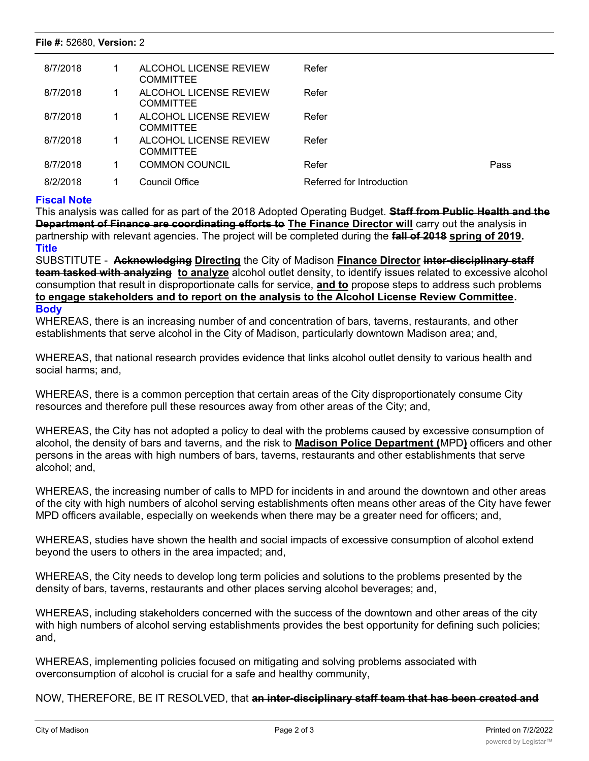| 8/7/2018 | ALCOHOL LICENSE REVIEW<br><b>COMMITTEE</b> | Refer                     |      |
|----------|--------------------------------------------|---------------------------|------|
| 8/7/2018 | ALCOHOL LICENSE REVIEW<br><b>COMMITTEE</b> | Refer                     |      |
| 8/7/2018 | ALCOHOL LICENSE REVIEW<br><b>COMMITTEE</b> | Refer                     |      |
| 8/7/2018 | ALCOHOL LICENSE REVIEW<br><b>COMMITTEE</b> | Refer                     |      |
| 8/7/2018 | <b>COMMON COUNCIL</b>                      | Refer                     | Pass |
| 8/2/2018 | Council Office                             | Referred for Introduction |      |

## **Fiscal Note**

This analysis was called for as part of the 2018 Adopted Operating Budget. **Staff from Public Health and the Department of Finance are coordinating efforts to The Finance Director will** carry out the analysis in partnership with relevant agencies. The project will be completed during the **fall of 2018 spring of 2019. Title**

SUBSTITUTE - **Acknowledging Directing** the City of Madison **Finance Director inter-disciplinary staff team tasked with analyzing to analyze** alcohol outlet density, to identify issues related to excessive alcohol consumption that result in disproportionate calls for service, **and to** propose steps to address such problems **to engage stakeholders and to report on the analysis to the Alcohol License Review Committee. Body**

WHEREAS, there is an increasing number of and concentration of bars, taverns, restaurants, and other establishments that serve alcohol in the City of Madison, particularly downtown Madison area; and,

WHEREAS, that national research provides evidence that links alcohol outlet density to various health and social harms; and,

WHEREAS, there is a common perception that certain areas of the City disproportionately consume City resources and therefore pull these resources away from other areas of the City; and,

WHEREAS, the City has not adopted a policy to deal with the problems caused by excessive consumption of alcohol, the density of bars and taverns, and the risk to **Madison Police Department (**MPD**)** officers and other persons in the areas with high numbers of bars, taverns, restaurants and other establishments that serve alcohol: and

WHEREAS, the increasing number of calls to MPD for incidents in and around the downtown and other areas of the city with high numbers of alcohol serving establishments often means other areas of the City have fewer MPD officers available, especially on weekends when there may be a greater need for officers; and,

WHEREAS, studies have shown the health and social impacts of excessive consumption of alcohol extend beyond the users to others in the area impacted; and,

WHEREAS, the City needs to develop long term policies and solutions to the problems presented by the density of bars, taverns, restaurants and other places serving alcohol beverages; and,

WHEREAS, including stakeholders concerned with the success of the downtown and other areas of the city with high numbers of alcohol serving establishments provides the best opportunity for defining such policies; and,

WHEREAS, implementing policies focused on mitigating and solving problems associated with overconsumption of alcohol is crucial for a safe and healthy community,

NOW, THEREFORE, BE IT RESOLVED, that **an inter-disciplinary staff team that has been created and**